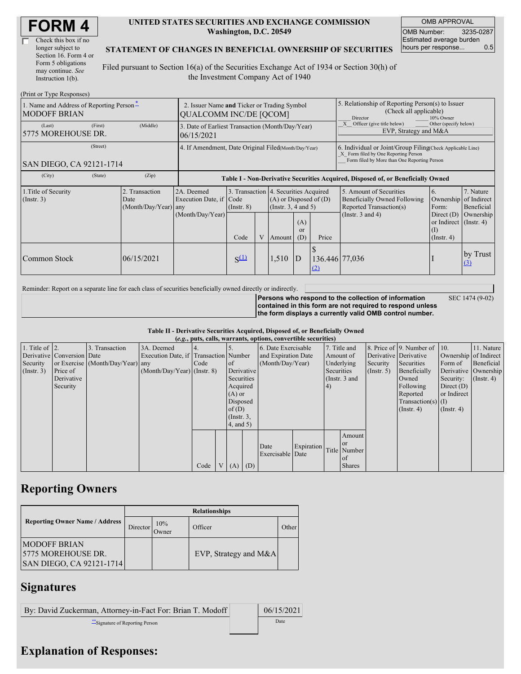| Check this box if no  |
|-----------------------|
| longer subject to     |
| Section 16. Form 4 or |
| Form 5 obligations    |
| may continue. See     |
| Instruction 1(b).     |

#### **UNITED STATES SECURITIES AND EXCHANGE COMMISSION Washington, D.C. 20549**

OMB APPROVAL OMB Number: 3235-0287 Estimated average burden hours per response... 0.5

SEC 1474 (9-02)

### **STATEMENT OF CHANGES IN BENEFICIAL OWNERSHIP OF SECURITIES**

Filed pursuant to Section 16(a) of the Securities Exchange Act of 1934 or Section 30(h) of the Investment Company Act of 1940

| (Print or Type Responses)                                       |                                                                              |                                                                |                 |  |                                                                                             |                                                                                  |                                                                                                                                                    |                                                                                    |                                                                         |                         |  |
|-----------------------------------------------------------------|------------------------------------------------------------------------------|----------------------------------------------------------------|-----------------|--|---------------------------------------------------------------------------------------------|----------------------------------------------------------------------------------|----------------------------------------------------------------------------------------------------------------------------------------------------|------------------------------------------------------------------------------------|-------------------------------------------------------------------------|-------------------------|--|
| 1. Name and Address of Reporting Person-<br><b>MODOFF BRIAN</b> | 2. Issuer Name and Ticker or Trading Symbol<br><b>OUALCOMM INC/DE [OCOM]</b> |                                                                |                 |  |                                                                                             |                                                                                  | 5. Relationship of Reporting Person(s) to Issuer<br>(Check all applicable)<br>10% Owner<br>Director                                                |                                                                                    |                                                                         |                         |  |
| (First)<br>(Last)<br>5775 MOREHOUSE DR.                         | (Middle)                                                                     | 3. Date of Earliest Transaction (Month/Day/Year)<br>06/15/2021 |                 |  |                                                                                             |                                                                                  |                                                                                                                                                    | Other (specify below)<br>Officer (give title below)<br>EVP, Strategy and M&A       |                                                                         |                         |  |
| (Street)<br>SAN DIEGO, CA 92121-1714                            | 4. If Amendment, Date Original Filed(Month/Day/Year)                         |                                                                |                 |  |                                                                                             |                                                                                  | 6. Individual or Joint/Group Filing(Check Applicable Line)<br>X Form filed by One Reporting Person<br>Form filed by More than One Reporting Person |                                                                                    |                                                                         |                         |  |
| (City)<br>(State)                                               | (Zip)                                                                        |                                                                |                 |  |                                                                                             | Table I - Non-Derivative Securities Acquired, Disposed of, or Beneficially Owned |                                                                                                                                                    |                                                                                    |                                                                         |                         |  |
| 1. Title of Security<br>$($ Instr. 3 $)$                        | 2. Transaction<br>Date<br>(Month/Day/Year) any                               | 2A. Deemed<br>Execution Date, if Code<br>(Month/Day/Year)      | $($ Instr. $8)$ |  | 3. Transaction 4. Securities Acquired<br>$(A)$ or Disposed of $(D)$<br>(Insert. 3, 4 and 5) |                                                                                  |                                                                                                                                                    | 5. Amount of Securities<br>Beneficially Owned Following<br>Reported Transaction(s) | 6.<br>Ownership of Indirect<br>Form:                                    | 7. Nature<br>Beneficial |  |
|                                                                 |                                                                              |                                                                | Code            |  | Amount                                                                                      | (A)<br>or<br>(D)                                                                 | Price                                                                                                                                              | (Instr. $3$ and $4$ )                                                              | Direct $(D)$<br>or Indirect $($ Instr. 4 $)$<br>(I)<br>$($ Instr. 4 $)$ | Ownership               |  |
| Common Stock                                                    | 06/15/2021                                                                   |                                                                | $S^{(1)}$       |  | 1,510                                                                                       | ID                                                                               | 136.446 77,036<br>(2)                                                                                                                              |                                                                                    |                                                                         | by Trust<br>(3)         |  |

Reminder: Report on a separate line for each class of securities beneficially owned directly or indirectly.

**Persons who respond to the collection of information contained in this form are not required to respond unless the form displays a currently valid OMB control number.**

**Table II - Derivative Securities Acquired, Disposed of, or Beneficially Owned**

|                        | (e.g., puts, calls, warrants, options, convertible securities) |                                  |                                       |      |  |                     |                  |                     |            |                 |                       |                      |                              |              |                      |
|------------------------|----------------------------------------------------------------|----------------------------------|---------------------------------------|------|--|---------------------|------------------|---------------------|------------|-----------------|-----------------------|----------------------|------------------------------|--------------|----------------------|
| 1. Title of $\vert$ 2. |                                                                | 3. Transaction                   | 3A. Deemed                            |      |  |                     |                  | 6. Date Exercisable |            |                 | 7. Title and          |                      | 8. Price of 9. Number of 10. |              | 11. Nature           |
|                        | Derivative Conversion Date                                     |                                  | Execution Date, if Transaction Number |      |  | and Expiration Date |                  |                     | Amount of  |                 | Derivative Derivative |                      | Ownership of Indirect        |              |                      |
| Security               |                                                                | or Exercise (Month/Day/Year) any |                                       | Code |  | of                  | (Month/Day/Year) |                     |            | Underlying      | Security              | Securities           | Form of                      | Beneficial   |                      |
| $($ Instr. 3 $)$       | Price of                                                       |                                  | $(Month/Day/Year)$ (Instr. 8)         |      |  |                     | Derivative       |                     |            | Securities      |                       | $($ Instr. 5)        | Beneficially                 |              | Derivative Ownership |
|                        | Derivative                                                     |                                  |                                       |      |  | Securities          |                  |                     |            | (Instr. $3$ and |                       |                      | Owned                        | Security:    | $($ Instr. 4 $)$     |
|                        | Security                                                       |                                  |                                       |      |  | Acquired            |                  |                     |            | 4)              |                       |                      | Following                    | Direct $(D)$ |                      |
|                        |                                                                |                                  |                                       |      |  | $(A)$ or            |                  |                     |            |                 |                       |                      | Reported                     | or Indirect  |                      |
|                        |                                                                |                                  |                                       |      |  | Disposed            |                  |                     |            |                 |                       | $Transaction(s)$ (I) |                              |              |                      |
|                        |                                                                |                                  |                                       |      |  | of(D)               |                  |                     |            |                 |                       | $($ Instr. 4 $)$     | $($ Instr. 4)                |              |                      |
|                        |                                                                |                                  |                                       |      |  | $($ Instr. $3,$     |                  |                     |            |                 |                       |                      |                              |              |                      |
|                        |                                                                |                                  |                                       |      |  | $4$ , and $5$ )     |                  |                     |            |                 |                       |                      |                              |              |                      |
|                        |                                                                |                                  |                                       |      |  |                     |                  |                     |            |                 | Amount                |                      |                              |              |                      |
|                        |                                                                |                                  |                                       |      |  |                     |                  |                     |            |                 | <b>or</b>             |                      |                              |              |                      |
|                        |                                                                |                                  |                                       |      |  |                     |                  | Date                | Expiration |                 | Title Number          |                      |                              |              |                      |
|                        |                                                                |                                  |                                       |      |  |                     |                  | Exercisable Date    |            |                 | <sub>of</sub>         |                      |                              |              |                      |
|                        |                                                                |                                  |                                       | Code |  | V(A)                | (D)              |                     |            |                 | <b>Shares</b>         |                      |                              |              |                      |

## **Reporting Owners**

|                                                                                | <b>Relationships</b> |              |                         |       |  |  |  |  |
|--------------------------------------------------------------------------------|----------------------|--------------|-------------------------|-------|--|--|--|--|
| <b>Reporting Owner Name / Address</b>                                          | Director             | 10%<br>Owner | Officer                 | Other |  |  |  |  |
| <b>IMODOFF BRIAN</b><br>15775 MOREHOUSE DR.<br><b>SAN DIEGO, CA 92121-1714</b> |                      |              | EVP, Strategy and $M&A$ |       |  |  |  |  |

# **Signatures**

| By: David Zuckerman, Attorney-in-Fact For: Brian T. Modoff | 06/15/2021 |
|------------------------------------------------------------|------------|
| Signature of Reporting Person                              | Date       |

# **Explanation of Responses:**